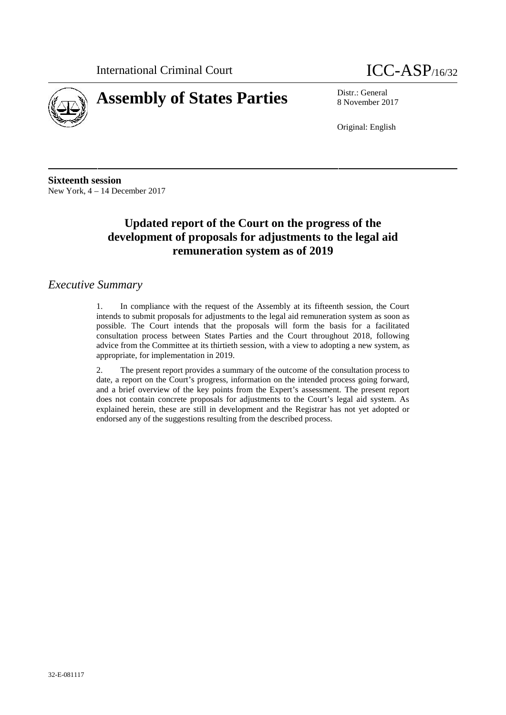



8 November 2017

Original: English

**Sixteenth session** New York, 4 – 14 December 2017

# **Updated report of the Court on the progress of the development of proposals for adjustments to the legal aid remuneration system as of 2019**

## *Executive Summary*

1. In compliance with the request of the Assembly at its fifteenth session, the Court intends to submit proposals for adjustments to the legal aid remuneration system as soon as possible. The Court intends that the proposals will form the basis for a facilitated consultation process between States Parties and the Court throughout 2018, following advice from the Committee at its thirtieth session, with a view to adopting a new system, as appropriate, for implementation in 2019.

2. The present report provides a summary of the outcome of the consultation process to date, a report on the Court's progress, information on the intended process going forward, and a brief overview of the key points from the Expert's assessment. The present report does not contain concrete proposals for adjustments to the Court's legal aid system. As explained herein, these are still in development and the Registrar has not yet adopted or endorsed any of the suggestions resulting from the described process.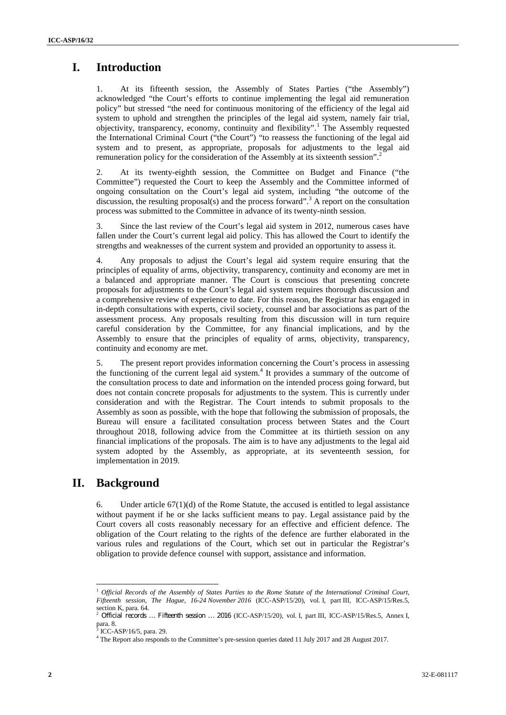# **I. Introduction**

At its fifteenth session, the Assembly of States Parties ("the Assembly") acknowledged "the Court's efforts to continue implementing the legal aid remuneration policy" but stressed "the need for continuous monitoring of the efficiency of the legal aid system to uphold and strengthen the principles of the legal aid system, namely fair trial, objectivity, transparency, economy, continuity and flexibility".<sup>1</sup> The Assembly requested the International Criminal Court ("the Court") "to reassess the functioning of the legal aid system and to present, as appropriate, proposals for adjustments to the legal aid remuneration policy for the consideration of the Assembly at its sixteenth session".<sup>2</sup>

2. At its twenty-eighth session, the Committee on Budget and Finance ("the Committee") requested the Court to keep the Assembly and the Committee informed of ongoing consultation on the Court's legal aid system, including "the outcome of the discussion, the resulting proposal(s) and the process forward".<sup>3</sup> A report on the consultation process was submitted to the Committee in advance of its twenty-ninth session.

Since the last review of the Court's legal aid system in 2012, numerous cases have fallen under the Court's current legal aid policy. This has allowed the Court to identify the strengths and weaknesses of the current system and provided an opportunity to assess it.

Any proposals to adjust the Court's legal aid system require ensuring that the principles of equality of arms, objectivity, transparency, continuity and economy are met in a balanced and appropriate manner. The Court is conscious that presenting concrete proposals for adjustments to the Court's legal aid system requires thorough discussion and a comprehensive review of experience to date. For this reason, the Registrar has engaged in in-depth consultations with experts, civil society, counsel and bar associations as part of the assessment process. Any proposals resulting from this discussion will in turn require careful consideration by the Committee, for any financial implications, and by the Assembly to ensure that the principles of equality of arms, objectivity, transparency, continuity and economy are met.

5. The present report provides information concerning the Court's process in assessing the functioning of the current legal aid system.<sup>4</sup> It provides a summary of the outcome of the consultation process to date and information on the intended process going forward, but does not contain concrete proposals for adjustments to the system. This is currently under consideration and with the Registrar. The Court intends to submit proposals to the Assembly as soon as possible, with the hope that following the submission of proposals, the Bureau will ensure a facilitated consultation process between States and the Court throughout 2018, following advice from the Committee at its thirtieth session on any financial implications of the proposals. The aim is to have any adjustments to the legal aid system adopted by the Assembly, as appropriate, at its seventeenth session, for implementation in 2019.

## **II. Background**

6. Under article  $67(1)(d)$  of the Rome Statute, the accused is entitled to legal assistance without payment if he or she lacks sufficient means to pay. Legal assistance paid by the Court covers all costs reasonably necessary for an effective and efficient defence. The obligation of the Court relating to the rights of the defence are further elaborated in the various rules and regulations of the Court, which set out in particular the Registrar's obligation to provide defence counsel with support, assistance and information.

<sup>1</sup> *Official Records of the Assembly of States Parties to the Rome Statute of the International Criminal Court, Fifteenth session, The Hague, 16-24 November 2016* (ICC-ASP/15/20), vol. I, part III, ICC-ASP/15/Res.5, section K, para. 64.

Official records ... Fifteenth session ... 2016 (ICC-ASP/15/20), vol. I, part III, ICC-ASP/15/Res.5, Annex I, para. 8.<br> $^{3}$  ICC-ASP/16/5, para. 29.

<sup>&</sup>lt;sup>4</sup> The Report also responds to the Committee's pre-session queries dated 11 July 2017 and 28 August 2017.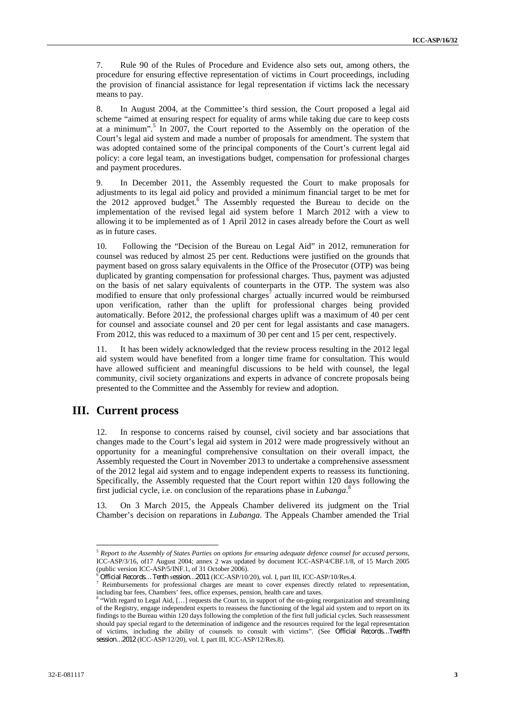7. Rule 90 of the Rules of Procedure and Evidence also sets out, among others, the procedure for ensuring effective representation of victims in Court proceedings, including the provision of financial assistance for legal representation if victims lack the necessary means to pay.

8. In August 2004, at the Committee's third session, the Court proposed a legal aid scheme "aimed at ensuring respect for equality of arms while taking due care to keep costs at a minimum".<sup>5</sup> In 2007, the Court reported to the Assembly on the operation of the Court's legal aid system and made a number of proposals for amendment. The system that was adopted contained some of the principal components of the Court's current legal aid policy: a core legal team, an investigations budget, compensation for professional charges and payment procedures.

9. In December 2011, the Assembly requested the Court to make proposals for adjustments to its legal aid policy and provided a minimum financial target to be met for the 2012 approved budget.<sup>6</sup> The Assembly requested the Bureau to decide on the implementation of the revised legal aid system before 1 March 2012 with a view to allowing it to be implemented as of 1 April 2012 in cases already before the Court as well as in future cases.

10. Following the "Decision of the Bureau on Legal Aid" in 2012, remuneration for counsel was reduced by almost 25 per cent. Reductions were justified on the grounds that payment based on gross salary equivalents in the Office of the Prosecutor (OTP) was being duplicated by granting compensation for professional charges. Thus, payment was adjusted on the basis of net salary equivalents of counterparts in the OTP. The system was also modified to ensure that only professional charges<sup>7</sup> actually incurred would be reimbursed upon verification, rather than the uplift for professional charges being provided automatically. Before 2012, the professional charges uplift was a maximum of 40 per cent for counsel and associate counsel and 20 per cent for legal assistants and case managers. From 2012, this was reduced to a maximum of 30 per cent and 15 per cent, respectively.

11. It has been widely acknowledged that the review process resulting in the 2012 legal aid system would have benefited from a longer time frame for consultation. This would have allowed sufficient and meaningful discussions to be held with counsel, the legal community, civil society organizations and experts in advance of concrete proposals being presented to the Committee and the Assembly for review and adoption.

### **III. Current process**

12. In response to concerns raised by counsel, civil society and bar associations that changes made to the Court's legal aid system in 2012 were made progressively without an opportunity for a meaningful comprehensive consultation on their overall impact, the Assembly requested the Court in November 2013 to undertake a comprehensive assessment of the 2012 legal aid system and to engage independent experts to reassess its functioning. Specifically, the Assembly requested that the Court report within 120 days following the first judicial cycle, i.e. on conclusion of the reparations phase in *Lubanga*.<sup>8</sup>

13. On 3 March 2015, the Appeals Chamber delivered its judgment on the Trial Chamber's decision on reparations in *Lubanga*. The Appeals Chamber amended the Trial

<sup>5</sup> *Report to the Assembly of States Parties on options for ensuring adequate defence counsel for accused persons*, ICC-ASP/3/16, of 17 August 2004; annex 2 was updated by document ICC-ASP/4/CBF.1/8, of 15 March 2005 (public version ICC-ASP/5/INF.1, of 31 October 2006).

Official Records... Tenth session...2011 (ICC-ASP/10/20), vol. I, part III, ICC-ASP/10/Res.4.<br>Reimbursements for professional charges are meant to cover expenses directly related to representation, including bar fees, Chambers' fees, office expenses, pension, health care and taxes.<br><sup>8</sup> "With regard to Legal Aid, [...] requests the Court to, in support of the on-going reorganization and streamlining

of the Registry, engage independent experts to reassess the functioning of the legal aid system and to report on its findings to the Bureau within 120 days following the completion of the first full judicial cycles. Such reassessment should pay special regard to the determination of indigence and the resources required for the legal representation of victims, including the ability of counsels to consult with victims". (See *Official Records…Twelfth session…2012* (ICC-ASP/12/20), vol. I, part III, ICC-ASP/12/Res.8).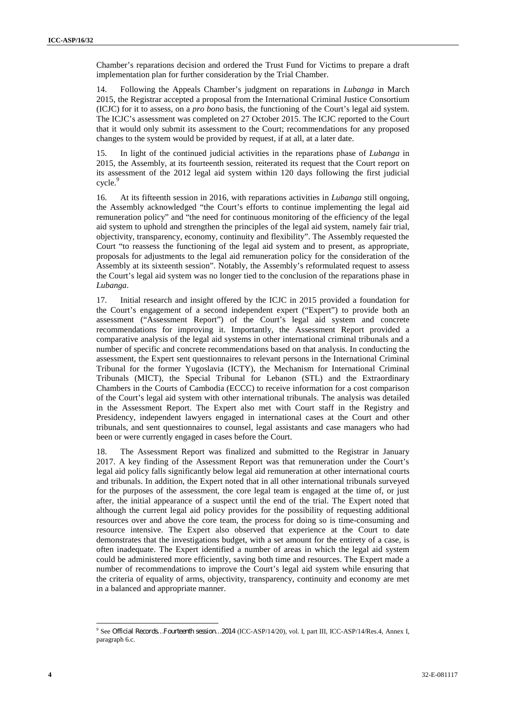Chamber's reparations decision and ordered the Trust Fund for Victims to prepare a draft implementation plan for further consideration by the Trial Chamber.

14. Following the Appeals Chamber's judgment on reparations in *Lubanga* in March 2015, the Registrar accepted a proposal from the International Criminal Justice Consortium (ICJC) for it to assess, on a *pro bono* basis, the functioning of the Court's legal aid system. The ICJC's assessment was completed on 27 October 2015. The ICJC reported to the Court that it would only submit its assessment to the Court; recommendations for any proposed changes to the system would be provided by request, if at all, at a later date.

15. In light of the continued judicial activities in the reparations phase of *Lubanga* in 2015, the Assembly, at its fourteenth session, reiterated its request that the Court report on its assessment of the 2012 legal aid system within 120 days following the first judicial cycle.<sup>9</sup>

16. At its fifteenth session in 2016, with reparations activities in *Lubanga* still ongoing, the Assembly acknowledged "the Court's efforts to continue implementing the legal aid remuneration policy" and "the need for continuous monitoring of the efficiency of the legal aid system to uphold and strengthen the principles of the legal aid system, namely fair trial, objectivity, transparency, economy, continuity and flexibility". The Assembly requested the Court "to reassess the functioning of the legal aid system and to present, as appropriate, proposals for adjustments to the legal aid remuneration policy for the consideration of the Assembly at its sixteenth session". Notably, the Assembly's reformulated request to assess the Court's legal aid system was no longer tied to the conclusion of the reparations phase in *Lubanga*.

17. Initial research and insight offered by the ICJC in 2015 provided a foundation for the Court's engagement of a second independent expert ("Expert") to provide both an assessment ("Assessment Report") of the Court's legal aid system and concrete recommendations for improving it. Importantly, the Assessment Report provided a comparative analysis of the legal aid systems in other international criminal tribunals and a number of specific and concrete recommendations based on that analysis. In conducting the assessment, the Expert sent questionnaires to relevant persons in the International Criminal Tribunal for the former Yugoslavia (ICTY), the Mechanism for International Criminal Tribunals (MICT), the Special Tribunal for Lebanon (STL) and the Extraordinary Chambers in the Courts of Cambodia (ECCC) to receive information for a cost comparison of the Court's legal aid system with other international tribunals. The analysis was detailed in the Assessment Report. The Expert also met with Court staff in the Registry and Presidency, independent lawyers engaged in international cases at the Court and other tribunals, and sent questionnaires to counsel, legal assistants and case managers who had been or were currently engaged in cases before the Court.

18. The Assessment Report was finalized and submitted to the Registrar in January 2017. A key finding of the Assessment Report was that remuneration under the Court's legal aid policy falls significantly below legal aid remuneration at other international courts and tribunals. In addition, the Expert noted that in all other international tribunals surveyed for the purposes of the assessment, the core legal team is engaged at the time of, or just after, the initial appearance of a suspect until the end of the trial. The Expert noted that although the current legal aid policy provides for the possibility of requesting additional resources over and above the core team, the process for doing so is time-consuming and resource intensive. The Expert also observed that experience at the Court to date demonstrates that the investigations budget, with a set amount for the entirety of a case, is often inadequate. The Expert identified a number of areas in which the legal aid system could be administered more efficiently, saving both time and resources. The Expert made a number of recommendations to improve the Court's legal aid system while ensuring that the criteria of equality of arms, objectivity, transparency, continuity and economy are met in a balanced and appropriate manner.

<sup>9</sup> See *Official Records…Fourteenth session…2014* (ICC-ASP/14/20), vol. I, part III, ICC-ASP/14/Res.4, Annex I, paragraph 6.c.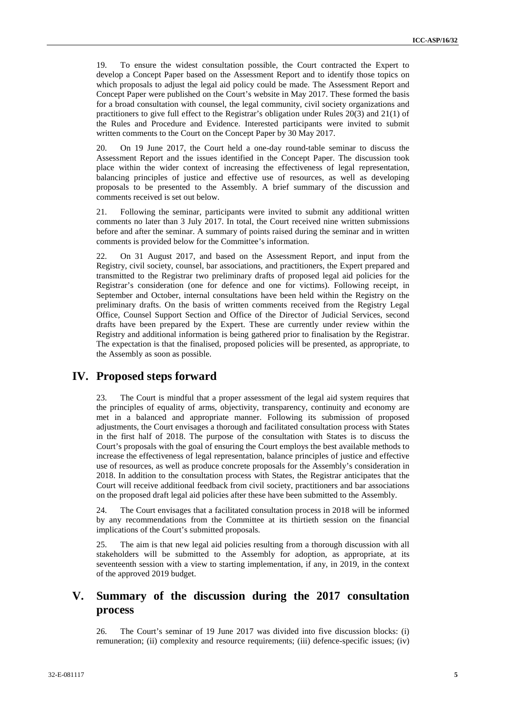19. To ensure the widest consultation possible, the Court contracted the Expert to develop a Concept Paper based on the Assessment Report and to identify those topics on which proposals to adjust the legal aid policy could be made. The Assessment Report and Concept Paper were published on the Court's website in May 2017. These formed the basis for a broad consultation with counsel, the legal community, civil society organizations and practitioners to give full effect to the Registrar's obligation under Rules 20(3) and 21(1) of the Rules and Procedure and Evidence. Interested participants were invited to submit written comments to the Court on the Concept Paper by 30 May 2017.

20. On 19 June 2017, the Court held a one-day round-table seminar to discuss the Assessment Report and the issues identified in the Concept Paper. The discussion took place within the wider context of increasing the effectiveness of legal representation, balancing principles of justice and effective use of resources, as well as developing proposals to be presented to the Assembly. A brief summary of the discussion and comments received is set out below.

21. Following the seminar, participants were invited to submit any additional written comments no later than 3 July 2017. In total, the Court received nine written submissions before and after the seminar. A summary of points raised during the seminar and in written comments is provided below for the Committee's information.

22. On 31 August 2017, and based on the Assessment Report, and input from the Registry, civil society, counsel, bar associations, and practitioners, the Expert prepared and transmitted to the Registrar two preliminary drafts of proposed legal aid policies for the Registrar's consideration (one for defence and one for victims). Following receipt, in September and October, internal consultations have been held within the Registry on the preliminary drafts. On the basis of written comments received from the Registry Legal Office, Counsel Support Section and Office of the Director of Judicial Services, second drafts have been prepared by the Expert. These are currently under review within the Registry and additional information is being gathered prior to finalisation by the Registrar. The expectation is that the finalised, proposed policies will be presented, as appropriate, to the Assembly as soon as possible.

### **IV. Proposed steps forward**

23. The Court is mindful that a proper assessment of the legal aid system requires that the principles of equality of arms, objectivity, transparency, continuity and economy are met in a balanced and appropriate manner. Following its submission of proposed adjustments, the Court envisages a thorough and facilitated consultation process with States in the first half of 2018. The purpose of the consultation with States is to discuss the Court's proposals with the goal of ensuring the Court employs the best available methods to increase the effectiveness of legal representation, balance principles of justice and effective use of resources, as well as produce concrete proposals for the Assembly's consideration in 2018. In addition to the consultation process with States, the Registrar anticipates that the Court will receive additional feedback from civil society, practitioners and bar associations on the proposed draft legal aid policies after these have been submitted to the Assembly.

24. The Court envisages that a facilitated consultation process in 2018 will be informed by any recommendations from the Committee at its thirtieth session on the financial implications of the Court's submitted proposals.

25. The aim is that new legal aid policies resulting from a thorough discussion with all stakeholders will be submitted to the Assembly for adoption, as appropriate, at its seventeenth session with a view to starting implementation, if any, in 2019, in the context of the approved 2019 budget.

## **V. Summary of the discussion during the 2017 consultation process**

26. The Court's seminar of 19 June 2017 was divided into five discussion blocks: (i) remuneration; (ii) complexity and resource requirements; (iii) defence-specific issues; (iv)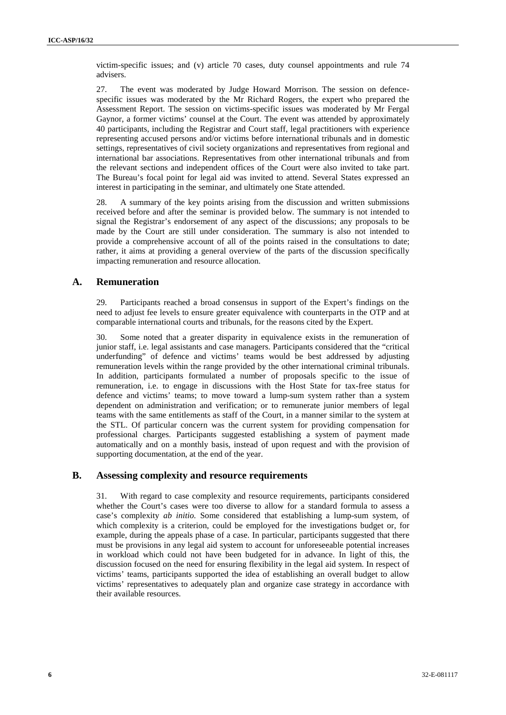victim-specific issues; and (v) article 70 cases, duty counsel appointments and rule 74 advisers.

27. The event was moderated by Judge Howard Morrison. The session on defence specific issues was moderated by the Mr Richard Rogers, the expert who prepared the Assessment Report. The session on victims-specific issues was moderated by Mr Fergal Gaynor, a former victims' counsel at the Court. The event was attended by approximately 40 participants, including the Registrar and Court staff, legal practitioners with experience representing accused persons and/or victims before international tribunals and in domestic settings, representatives of civil society organizations and representatives from regional and international bar associations. Representatives from other international tribunals and from the relevant sections and independent offices of the Court were also invited to take part. The Bureau's focal point for legal aid was invited to attend. Several States expressed an interest in participating in the seminar, and ultimately one State attended.

28. A summary of the key points arising from the discussion and written submissions received before and after the seminar is provided below. The summary is not intended to signal the Registrar's endorsement of any aspect of the discussions; any proposals to be made by the Court are still under consideration. The summary is also not intended to provide a comprehensive account of all of the points raised in the consultations to date; rather, it aims at providing a general overview of the parts of the discussion specifically impacting remuneration and resource allocation.

### **A. Remuneration**

29. Participants reached a broad consensus in support of the Expert's findings on the need to adjust fee levels to ensure greater equivalence with counterparts in the OTP and at comparable international courts and tribunals, for the reasons cited by the Expert.

30. Some noted that a greater disparity in equivalence exists in the remuneration of junior staff, i.e. legal assistants and case managers. Participants considered that the "critical underfunding" of defence and victims' teams would be best addressed by adjusting remuneration levels within the range provided by the other international criminal tribunals. In addition, participants formulated a number of proposals specific to the issue of remuneration, i.e. to engage in discussions with the Host State for tax-free status for defence and victims' teams; to move toward a lump-sum system rather than a system dependent on administration and verification; or to remunerate junior members of legal teams with the same entitlements as staff of the Court, in a manner similar to the system at the STL. Of particular concern was the current system for providing compensation for professional charges. Participants suggested establishing a system of payment made automatically and on a monthly basis, instead of upon request and with the provision of supporting documentation, at the end of the year.

#### **B. Assessing complexity and resource requirements**

31. With regard to case complexity and resource requirements, participants considered whether the Court's cases were too diverse to allow for a standard formula to assess a case's complexity *ab initio.* Some considered that establishing a lump-sum system, of which complexity is a criterion, could be employed for the investigations budget or, for example, during the appeals phase of a case. In particular, participants suggested that there must be provisions in any legal aid system to account for unforeseeable potential increases in workload which could not have been budgeted for in advance. In light of this, the discussion focused on the need for ensuring flexibility in the legal aid system. In respect of victims' teams, participants supported the idea of establishing an overall budget to allow victims' representatives to adequately plan and organize case strategy in accordance with their available resources.